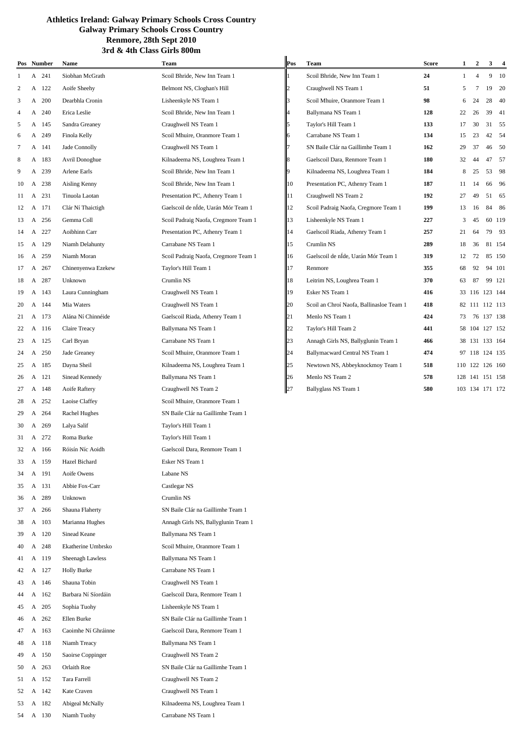|    |   | Pos Number | Name                | Team                                 | Pos            | Team                                     | <b>Score</b> | $\mathbf{1}$ | $\overline{2}$  | 3 <sup>7</sup> | $\overline{\mathbf{4}}$ |
|----|---|------------|---------------------|--------------------------------------|----------------|------------------------------------------|--------------|--------------|-----------------|----------------|-------------------------|
| 1  |   | A 241      | Siobhan McGrath     | Scoil Bhride, New Inn Team 1         |                | Scoil Bhride, New Inn Team 1             | 24           | 1            | $\overline{4}$  |                | 9 10                    |
| 2  | A | 122        | Aoife Sheehy        | Belmont NS, Cloghan's Hill           | $\overline{2}$ | Craughwell NS Team 1                     | 51           | 5            | 7               | 19             | 20                      |
| 3  |   | A 200      | Dearbhla Cronin     | Lisheenkyle NS Team 1                | 3              | Scoil Mhuire, Oranmore Team 1            | 98           | 6            | 24              | 28             | - 40                    |
| 4  | A | 240        | Erica Leslie        | Scoil Bhride, New Inn Team 1         | 4              | Ballymana NS Team 1                      | 128          | 22           | 26              | 39             | 41                      |
| 5  |   | A 145      | Sandra Greaney      | Craughwell NS Team 1                 | 5              | Taylor's Hill Team 1                     | 133          | 17           | 30              |                | 31 55                   |
| 6  | A | 249        | Finola Kelly        | Scoil Mhuire, Oranmore Team 1        | 6              | Carrabane NS Team 1                      | 134          | 15           | 23              | 42             | - 54                    |
| 7  |   | A 141      | Jade Connolly       | Craughwell NS Team 1                 | 7              | SN Baile Clár na Gaillimhe Team 1        | 162          | 29           | 37              |                | 46 50                   |
| 8  |   | A 183      | Avril Donoghue      | Kilnadeema NS, Loughrea Team 1       | 8              | Gaelscoil Dara, Renmore Team 1           | 180          | 32           | 44              |                | 47 57                   |
| 9  | A | 239        | Arlene Earls        | Scoil Bhride, New Inn Team 1         | 9              | Kilnadeema NS, Loughrea Team 1           | 184          | 8            | 25              | 53             | -98                     |
| 10 | A | 238        | Aisling Kenny       | Scoil Bhride, New Inn Team 1         | 10             | Presentation PC, Athenry Team 1          | 187          | 11           | 14              | 66             | 96                      |
| 11 |   | A 231      | Tinuola Laotan      | Presentation PC, Athenry Team 1      | 11             | Craughwell NS Team 2                     | 192          | 27           | 49              |                | 51 65                   |
| 12 |   | A 171      | Clár Ní Thaictigh   | Gaelscoil de nÍde, Uarán Mór Team 1  | 12             | Scoil Padraig Naofa, Cregmore Team 1     | 199          | 13           | 16              | 84             | -86                     |
| 13 |   | A 256      | Gemma Coll          | Scoil Padraig Naofa, Cregmore Team 1 | 13             | Lisheenkyle NS Team 1                    | 227          | 3            | 45              |                | 60 119                  |
| 14 | A | 227        | Aoibhinn Carr       | Presentation PC, Athenry Team 1      | 14             | Gaelscoil Riada, Athenry Team 1          | 257          | 21           | 64              |                | 79 93                   |
| 15 |   | A 129      | Niamh Delahunty     | Carrabane NS Team 1                  | 15             | Crumlin NS                               | 289          | 18           | 36              |                | 81 154                  |
| 16 | A | 259        | Niamh Moran         | Scoil Padraig Naofa, Cregmore Team 1 | 16             | Gaelscoil de nÍde, Uarán Mór Team 1      | 319          | 12           | 72              |                | 85 150                  |
| 17 | A | 267        | Chinenyenwa Ezekew  | Taylor's Hill Team 1                 | 17             | Renmore                                  | 355          | 68           | 92              |                | 94 101                  |
| 18 |   | A 287      | Unknown             | Crumlin NS                           | 18             | Leitrim NS, Loughrea Team 1              | 370          | 63           | 87              |                | 99 121                  |
| 19 |   | A 143      | Laura Cunningham    | Craughwell NS Team 1                 | 19             | Esker NS Team 1                          | 416          |              | 33 116 123 144  |                |                         |
| 20 |   | A 144      | Mia Waters          | Craughwell NS Team 1                 | 20             | Scoil an Chroí Naofa, Ballinasloe Team 1 | 418          |              | 82 111 112 113  |                |                         |
| 21 |   | A 173      | Alána Ní Chinnéide  | Gaelscoil Riada, Athenry Team 1      | 21             | Menlo NS Team 1                          | 424          | 73           |                 | 76 137 138     |                         |
| 22 |   | A 116      | Claire Treacy       | Ballymana NS Team 1                  | 22             | Taylor's Hill Team 2                     | 441          |              | 58 104 127 152  |                |                         |
| 23 |   | A 125      | Carl Bryan          | Carrabane NS Team 1                  | 23             | Annagh Girls NS, Ballyglunin Team 1      | 466          |              | 38 131 133 164  |                |                         |
| 24 | A | 250        | Jade Greaney        | Scoil Mhuire, Oranmore Team 1        | 24             | Ballymacward Central NS Team 1           | 474          |              | 97 118 124 135  |                |                         |
| 25 |   | A 185      | Dayna Sheil         | Kilnadeema NS, Loughrea Team 1       | 25             | Newtown NS, Abbeyknockmoy Team 1         | 518          |              | 110 122 126 160 |                |                         |
| 26 |   | A 121      | Sinead Kennedy      | Ballymana NS Team 1                  | 26             | Menlo NS Team 2                          | 578          |              | 128 141 151 158 |                |                         |
| 27 |   | A 148      | Aoife Raftery       | Craughwell NS Team 2                 | 27             | Ballyglass NS Team 1                     | 580          |              | 103 134 171 172 |                |                         |
| 28 | A | 252        | Laoise Claffey      | Scoil Mhuire, Oranmore Team 1        |                |                                          |              |              |                 |                |                         |
| 29 |   | A 264      | Rachel Hughes       | SN Baile Clár na Gaillimhe Team 1    |                |                                          |              |              |                 |                |                         |
| 30 | A | 269        | Lalya Salif         | Taylor's Hill Team 1                 |                |                                          |              |              |                 |                |                         |
| 31 |   | A 272      | Roma Burke          | Taylor's Hill Team 1                 |                |                                          |              |              |                 |                |                         |
| 32 |   | A 166      | Róisín Níc Aoidh    | Gaelscoil Dara, Renmore Team 1       |                |                                          |              |              |                 |                |                         |
| 33 |   | A 159      | Hazel Bichard       | Esker NS Team 1                      |                |                                          |              |              |                 |                |                         |
| 34 | A | 191        | Aoife Owens         | Labane NS                            |                |                                          |              |              |                 |                |                         |
| 35 |   | A 131      | Abbie Fox-Carr      | Castlegar NS                         |                |                                          |              |              |                 |                |                         |
| 36 | A | 289        | Unknown             | Crumlin NS                           |                |                                          |              |              |                 |                |                         |
| 37 |   | A 266      | Shauna Flaherty     | SN Baile Clár na Gaillimhe Team 1    |                |                                          |              |              |                 |                |                         |
| 38 |   | A 103      | Marianna Hughes     | Annagh Girls NS, Ballyglunin Team 1  |                |                                          |              |              |                 |                |                         |
| 39 |   | A 120      | Sinead Keane        | Ballymana NS Team 1                  |                |                                          |              |              |                 |                |                         |
| 40 |   | A 248      | Ekatherine Umbrsko  | Scoil Mhuire, Oranmore Team 1        |                |                                          |              |              |                 |                |                         |
| 41 |   | A 119      | Sheenagh Lawless    | Ballymana NS Team 1                  |                |                                          |              |              |                 |                |                         |
| 42 |   | A 127      | <b>Holly Burke</b>  | Carrabane NS Team 1                  |                |                                          |              |              |                 |                |                         |
| 43 |   | A 146      | Shauna Tobin        | Craughwell NS Team 1                 |                |                                          |              |              |                 |                |                         |
| 44 |   | A 162      | Barbara Ní Síordáin | Gaelscoil Dara, Renmore Team 1       |                |                                          |              |              |                 |                |                         |
| 45 | A | 205        | Sophia Tuohy        | Lisheenkyle NS Team 1                |                |                                          |              |              |                 |                |                         |
| 46 |   | A 262      | Ellen Burke         | SN Baile Clár na Gaillimhe Team 1    |                |                                          |              |              |                 |                |                         |
| 47 |   | A 163      | Caoimhe Ní Ghráinne | Gaelscoil Dara, Renmore Team 1       |                |                                          |              |              |                 |                |                         |
| 48 |   | A 118      | Niamh Treacy        | Ballymana NS Team 1                  |                |                                          |              |              |                 |                |                         |
| 49 |   | A 150      | Saoirse Coppinger   | Craughwell NS Team 2                 |                |                                          |              |              |                 |                |                         |
| 50 | A | 263        | Orlaith Roe         | SN Baile Clár na Gaillimhe Team 1    |                |                                          |              |              |                 |                |                         |
| 51 |   | A 152      | Tara Farrell        | Craughwell NS Team 2                 |                |                                          |              |              |                 |                |                         |
| 52 |   | A 142      | Kate Craven         | Craughwell NS Team 1                 |                |                                          |              |              |                 |                |                         |
| 53 |   | A 182      | Abigeal McNally     | Kilnadeema NS, Loughrea Team 1       |                |                                          |              |              |                 |                |                         |

A 130 Niamh Tuohy Carrabane NS Team 1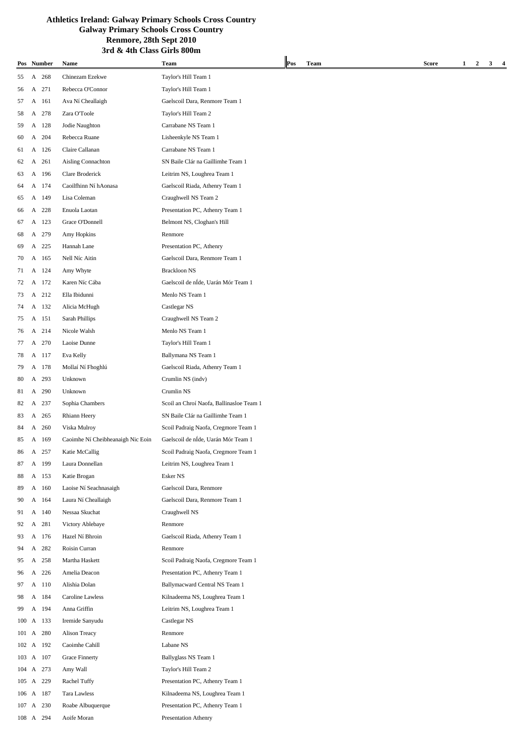|           |   |            | тин Синээ                         | vu s                                     |     |      |       |                   |   |  |
|-----------|---|------------|-----------------------------------|------------------------------------------|-----|------|-------|-------------------|---|--|
|           |   | Pos Number | Name                              | Team                                     | Pos | Team | Score | $\mathbf{2}$<br>1 | 3 |  |
| 55        | A | 268        | Chinezam Ezekwe                   | Taylor's Hill Team 1                     |     |      |       |                   |   |  |
| 56        | A | 271        | Rebecca O'Connor                  | Taylor's Hill Team 1                     |     |      |       |                   |   |  |
| 57        | A | 161        | Ava Ní Cheallaigh                 | Gaelscoil Dara, Renmore Team 1           |     |      |       |                   |   |  |
| 58        | A | 278        | Zara O'Toole                      | Taylor's Hill Team 2                     |     |      |       |                   |   |  |
| 59        | A | 128        | Jodie Naughton                    | Carrabane NS Team 1                      |     |      |       |                   |   |  |
| 60        | А | 204        | Rebecca Ruane                     | Lisheenkyle NS Team 1                    |     |      |       |                   |   |  |
| 61        |   | A 126      | Claire Callanan                   | Carrabane NS Team 1                      |     |      |       |                   |   |  |
| 62        | A | 261        | Aisling Connachton                | SN Baile Clár na Gaillimhe Team 1        |     |      |       |                   |   |  |
| 63        | A | 196        | Clare Broderick                   | Leitrim NS, Loughrea Team 1              |     |      |       |                   |   |  |
| 64        | A | 174        | Caoilfhinn Ní hAonasa             | Gaelscoil Riada, Athenry Team 1          |     |      |       |                   |   |  |
| 65        | A | 149        | Lisa Coleman                      | Craughwell NS Team 2                     |     |      |       |                   |   |  |
| 66        | A | 228        | Enuola Laotan                     | Presentation PC, Athenry Team 1          |     |      |       |                   |   |  |
| 67        | A | 123        | Grace O'Donnell                   | Belmont NS, Cloghan's Hill               |     |      |       |                   |   |  |
| 68        | A | 279        | Amy Hopkins                       | Renmore                                  |     |      |       |                   |   |  |
| 69        | A | 225        | Hannah Lane                       | Presentation PC, Athenry                 |     |      |       |                   |   |  |
| 70        | A | 165        | Nell Níc Aitin                    | Gaelscoil Dara, Renmore Team 1           |     |      |       |                   |   |  |
| 71        | A | 124        | Amy Whyte                         | <b>Brackloon NS</b>                      |     |      |       |                   |   |  |
| 72        |   | A 172      | Karen Níc Cába                    | Gaelscoil de nÍde, Uarán Mór Team 1      |     |      |       |                   |   |  |
| 73        | A | 212        | Ella Ibidunni                     | Menlo NS Team 1                          |     |      |       |                   |   |  |
| 74        | А | 132        | Alicia McHugh                     | Castlegar NS                             |     |      |       |                   |   |  |
| 75        | A | 151        | Sarah Phillips                    | Craughwell NS Team 2                     |     |      |       |                   |   |  |
| 76        | A | 214        | Nicole Walsh                      | Menlo NS Team 1                          |     |      |       |                   |   |  |
| 77        | A | 270        | Laoise Dunne                      | Taylor's Hill Team 1                     |     |      |       |                   |   |  |
| 78        | A | 117        | Eva Kelly                         | Ballymana NS Team 1                      |     |      |       |                   |   |  |
| 79        |   | A 178      | Mollaí Ní Fhoghlú                 | Gaelscoil Riada, Athenry Team 1          |     |      |       |                   |   |  |
| 80        | A | 293        | Unknown                           | Crumlin NS (indv)                        |     |      |       |                   |   |  |
| 81        | А | 290        | Unknown                           | Crumlin NS                               |     |      |       |                   |   |  |
| 82        | A | 237        | Sophia Chambers                   | Scoil an Chroí Naofa, Ballinasloe Team 1 |     |      |       |                   |   |  |
| 83        | A | 265        | Rhiann Heery                      | SN Baile Clár na Gaillimhe Team 1        |     |      |       |                   |   |  |
| 84        | A | 260        | Viska Mulroy                      | Scoil Padraig Naofa, Cregmore Team 1     |     |      |       |                   |   |  |
| 85        | A | 169        | Caoimhe Ní Cheibheanaigh Nic Eoin | Gaelscoil de nÍde, Uarán Mór Team 1      |     |      |       |                   |   |  |
|           |   | A 257      |                                   |                                          |     |      |       |                   |   |  |
| 86        |   |            | Katie McCallig                    | Scoil Padraig Naofa, Cregmore Team 1     |     |      |       |                   |   |  |
| 87        | A | 199        | Laura Donnellan                   | Leitrim NS, Loughrea Team 1              |     |      |       |                   |   |  |
| 88        |   | A 153      | Katie Brogan                      | Esker NS                                 |     |      |       |                   |   |  |
| 89        |   | A 160      | Laoise Ní Seachnasaigh            | Gaelscoil Dara, Renmore                  |     |      |       |                   |   |  |
| 90        |   | A 164      | Laura Ní Cheallaigh               | Gaelscoil Dara, Renmore Team 1           |     |      |       |                   |   |  |
| 91        |   | A 140      | Nessaa Skuchat                    | Craughwell NS                            |     |      |       |                   |   |  |
| 92        | A | 281        | Victory Ablebaye                  | Renmore                                  |     |      |       |                   |   |  |
| 93        |   | A 176      | Hazel Ní Bhroin                   | Gaelscoil Riada, Athenry Team 1          |     |      |       |                   |   |  |
| 94        |   | A 282      | Roisin Curran                     | Renmore                                  |     |      |       |                   |   |  |
| 95        |   | A 258      | Martha Haskett                    | Scoil Padraig Naofa, Cregmore Team 1     |     |      |       |                   |   |  |
| 96        |   | A 226      | Amelia Deacon                     | Presentation PC, Athenry Team 1          |     |      |       |                   |   |  |
| 97        |   | A 110      | Alishia Dolan                     | Ballymacward Central NS Team 1           |     |      |       |                   |   |  |
| 98        |   | A 184      | Caroline Lawless                  | Kilnadeema NS, Loughrea Team 1           |     |      |       |                   |   |  |
| 99        | A | 194        | Anna Griffin                      | Leitrim NS, Loughrea Team 1              |     |      |       |                   |   |  |
| 100 A 133 |   |            | Iremide Sanyudu                   | Castlegar NS                             |     |      |       |                   |   |  |
| 101 A 280 |   |            | Alison Treacy                     | Renmore                                  |     |      |       |                   |   |  |
| 102 A 192 |   |            | Caoimhe Cahill                    | Labane NS                                |     |      |       |                   |   |  |
| 103 A 107 |   |            | Grace Finnerty                    | Ballyglass NS Team 1                     |     |      |       |                   |   |  |
| 104 A 273 |   |            | Amy Wall                          | Taylor's Hill Team 2                     |     |      |       |                   |   |  |
| 105 A 229 |   |            | Rachel Tuffy                      | Presentation PC, Athenry Team 1          |     |      |       |                   |   |  |
| 106 A 187 |   |            | Tara Lawless                      | Kilnadeema NS, Loughrea Team 1           |     |      |       |                   |   |  |
| 107 A 230 |   |            | Roabe Albuquerque                 | Presentation PC, Athenry Team 1          |     |      |       |                   |   |  |
| 108 A 294 |   |            | Aoife Moran                       | Presentation Athenry                     |     |      |       |                   |   |  |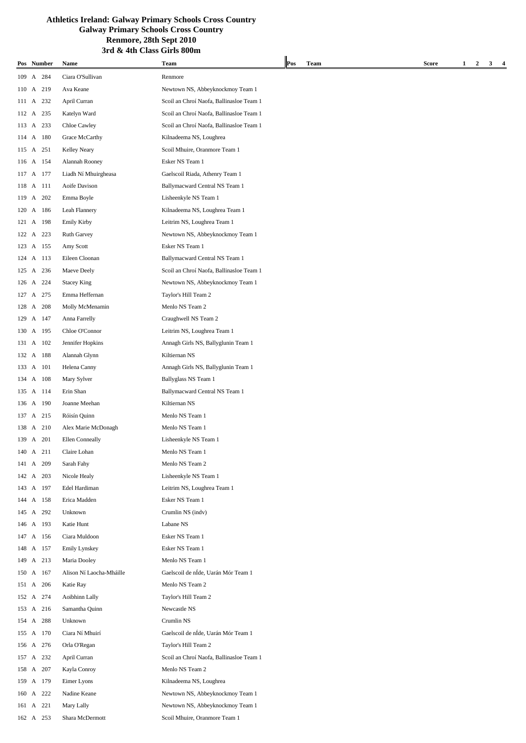| Pos Number |     | Name                     | Team                                     | Pos | Team | Score | 1<br>2 | 3 |  |
|------------|-----|--------------------------|------------------------------------------|-----|------|-------|--------|---|--|
|            |     |                          |                                          |     |      |       |        |   |  |
| 109 A 284  |     | Ciara O'Sullivan         | Renmore                                  |     |      |       |        |   |  |
| 110 A 219  |     | Ava Keane                | Newtown NS, Abbeyknockmoy Team 1         |     |      |       |        |   |  |
| 111 A 232  |     | April Curran             | Scoil an Chroí Naofa, Ballinasloe Team 1 |     |      |       |        |   |  |
| 112 A 235  |     | Katelyn Ward             | Scoil an Chroí Naofa, Ballinasloe Team 1 |     |      |       |        |   |  |
| 113 A 233  |     | Chloe Cawley             | Scoil an Chroí Naofa, Ballinasloe Team 1 |     |      |       |        |   |  |
| 114 A 180  |     | Grace McCarthy           | Kilnadeema NS, Loughrea                  |     |      |       |        |   |  |
| 115 A 251  |     | Kelley Neary             | Scoil Mhuire, Oranmore Team 1            |     |      |       |        |   |  |
| 116 A 154  |     | Alannah Rooney           | Esker NS Team 1                          |     |      |       |        |   |  |
| 117 A 177  |     | Liadh Ní Mhuirgheasa     | Gaelscoil Riada, Athenry Team 1          |     |      |       |        |   |  |
| 118 A 111  |     | Aoife Davison            | Ballymacward Central NS Team 1           |     |      |       |        |   |  |
| 119 A 202  |     | Emma Boyle               | Lisheenkyle NS Team 1                    |     |      |       |        |   |  |
| 120 A 186  |     | Leah Flannery            | Kilnadeema NS, Loughrea Team 1           |     |      |       |        |   |  |
| 121 A 198  |     | <b>Emily Kirby</b>       | Leitrim NS, Loughrea Team 1              |     |      |       |        |   |  |
| 122 A 223  |     | Ruth Garvey              | Newtown NS, Abbeyknockmoy Team 1         |     |      |       |        |   |  |
| 123 A 155  |     | Amy Scott                | Esker NS Team 1                          |     |      |       |        |   |  |
| 124 A 113  |     | Eileen Cloonan           | Ballymacward Central NS Team 1           |     |      |       |        |   |  |
| 125 A      | 236 | Maeve Deely              | Scoil an Chroí Naofa, Ballinasloe Team 1 |     |      |       |        |   |  |
| 126 A 224  |     | <b>Stacey King</b>       | Newtown NS, Abbeyknockmoy Team 1         |     |      |       |        |   |  |
| 127 A 275  |     | Emma Heffernan           | Taylor's Hill Team 2                     |     |      |       |        |   |  |
| 128 A 208  |     | Molly McMenamin          | Menlo NS Team 2                          |     |      |       |        |   |  |
| 129 A 147  |     | Anna Farrelly            | Craughwell NS Team 2                     |     |      |       |        |   |  |
| 130 A 195  |     | Chloe O'Connor           | Leitrim NS, Loughrea Team 1              |     |      |       |        |   |  |
| 131 A 102  |     | Jennifer Hopkins         | Annagh Girls NS, Ballyglunin Team 1      |     |      |       |        |   |  |
| 132 A 188  |     | Alannah Glynn            | Kiltiernan NS                            |     |      |       |        |   |  |
| 133 A 101  |     | Helena Canny             | Annagh Girls NS, Ballyglunin Team 1      |     |      |       |        |   |  |
| 134 A 108  |     | Mary Sylver              | Ballyglass NS Team 1                     |     |      |       |        |   |  |
| 135 A 114  |     | Erin Shan                | Ballymacward Central NS Team 1           |     |      |       |        |   |  |
| 136 A 190  |     | Joanne Meehan            | Kiltiernan NS                            |     |      |       |        |   |  |
| 137 A 215  |     | Róisín Quinn             | Menlo NS Team 1                          |     |      |       |        |   |  |
| 138 A 210  |     | Alex Marie McDonagh      | Menlo NS Team 1                          |     |      |       |        |   |  |
| 139 A 201  |     | Ellen Conneally          | Lisheenkyle NS Team 1                    |     |      |       |        |   |  |
| 140 A 211  |     | Claire Lohan             | Menlo NS Team 1                          |     |      |       |        |   |  |
| 141 A 209  |     | Sarah Fahy               | Menlo NS Team 2                          |     |      |       |        |   |  |
| 142 A 203  |     | Nicole Healy             | Lisheenkyle NS Team 1                    |     |      |       |        |   |  |
| 143 A 197  |     | Edel Hardiman            | Leitrim NS, Loughrea Team 1              |     |      |       |        |   |  |
| 144 A 158  |     | Erica Madden             | Esker NS Team 1                          |     |      |       |        |   |  |
| 145 A 292  |     | Unknown                  | Crumlin NS (indv)                        |     |      |       |        |   |  |
| 146 A 193  |     | Katie Hunt               | Labane NS                                |     |      |       |        |   |  |
|            |     |                          | Esker NS Team 1                          |     |      |       |        |   |  |
| 147 A 156  |     | Ciara Muldoon            |                                          |     |      |       |        |   |  |
| 148 A 157  |     | <b>Emily Lynskey</b>     | Esker NS Team 1                          |     |      |       |        |   |  |
| 149 A 213  |     | Maria Dooley             | Menlo NS Team 1                          |     |      |       |        |   |  |
| 150 A 167  |     | Alison Ní Laocha-Mháille | Gaelscoil de nÍde, Uarán Mór Team 1      |     |      |       |        |   |  |
| 151 A 206  |     | Katie Ray                | Menlo NS Team 2                          |     |      |       |        |   |  |
| 152 A 274  |     | Aoibhinn Lally           | Taylor's Hill Team 2                     |     |      |       |        |   |  |
| 153 A 216  |     | Samantha Quinn           | Newcastle NS                             |     |      |       |        |   |  |
| 154 A 288  |     | Unknown                  | Crumlin NS                               |     |      |       |        |   |  |
| 155 A 170  |     | Ciara Ní Mhuirí          | Gaelscoil de nÍde, Uarán Mór Team 1      |     |      |       |        |   |  |
| 156 A 276  |     | Orla O'Regan             | Taylor's Hill Team 2                     |     |      |       |        |   |  |
| 157 A 232  |     | April Curran             | Scoil an Chroí Naofa, Ballinasloe Team 1 |     |      |       |        |   |  |
| 158 A 207  |     | Kayla Conroy             | Menlo NS Team 2                          |     |      |       |        |   |  |
| 159 A 179  |     | Eimer Lyons              | Kilnadeema NS, Loughrea                  |     |      |       |        |   |  |
| 160 A 222  |     | Nadine Keane             | Newtown NS, Abbeyknockmoy Team 1         |     |      |       |        |   |  |
| 161 A 221  |     | Mary Lally               | Newtown NS, Abbeyknockmoy Team 1         |     |      |       |        |   |  |
| 162 A 253  |     | Shara McDermott          | Scoil Mhuire, Oranmore Team 1            |     |      |       |        |   |  |